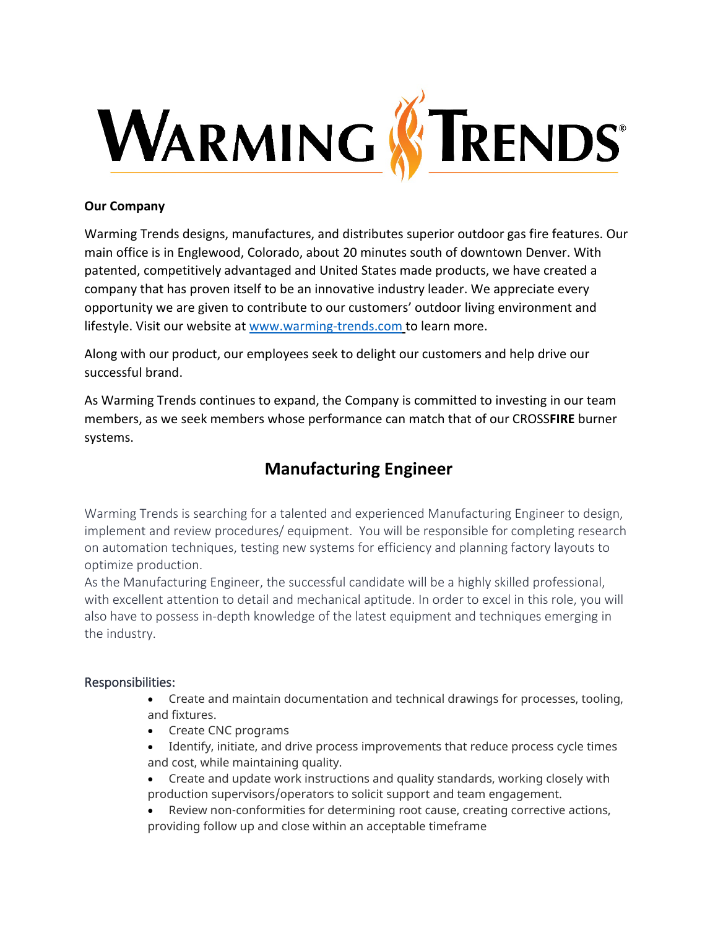

## **Our Company**

Warming Trends designs, manufactures, and distributes superior outdoor gas fire features. Our main office is in Englewood, Colorado, about 20 minutes south of downtown Denver. With patented, competitively advantaged and United States made products, we have created a company that has proven itself to be an innovative industry leader. We appreciate every opportunity we are given to contribute to our customers' outdoor living environment and lifestyle. Visit our website at [www.warming-trends.com](http://www.warming-trends.com/) to learn more.

Along with our product, our employees seek to delight our customers and help drive our successful brand.

As Warming Trends continues to expand, the Company is committed to investing in our team members, as we seek members whose performance can match that of our CROSS**FIRE** burner systems.

## **Manufacturing Engineer**

Warming Trends is searching for a talented and experienced Manufacturing Engineer to design, implement and review procedures/ equipment. You will be responsible for completing research on automation techniques, testing new systems for efficiency and planning factory layouts to optimize production.

As the Manufacturing Engineer, the successful candidate will be a highly skilled professional, with excellent attention to detail and mechanical aptitude. In order to excel in this role, you will also have to possess in-depth knowledge of the latest equipment and techniques emerging in the industry.

## Responsibilities:

- Create and maintain documentation and technical drawings for processes, tooling, and fixtures.
- Create CNC programs
- Identify, initiate, and drive process improvements that reduce process cycle times and cost, while maintaining quality.
- Create and update work instructions and quality standards, working closely with production supervisors/operators to solicit support and team engagement.
- Review non-conformities for determining root cause, creating corrective actions, providing follow up and close within an acceptable timeframe